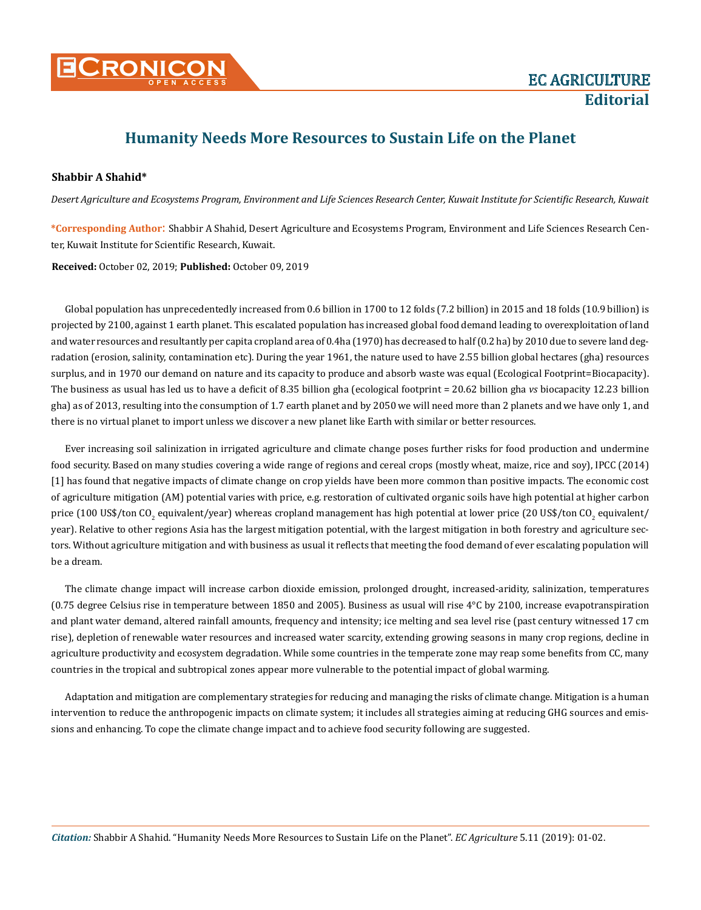

## **Humanity Needs More Resources to Sustain Life on the Planet**

## **Shabbir A Shahid\***

*Desert Agriculture and Ecosystems Program, Environment and Life Sciences Research Center, Kuwait Institute for Scientific Research, Kuwait* 

**\*Corresponding Author**: Shabbir A Shahid, Desert Agriculture and Ecosystems Program, Environment and Life Sciences Research Center, Kuwait Institute for Scientific Research, Kuwait.

**Received:** October 02, 2019; **Published:** October 09, 2019

Global population has unprecedentedly increased from 0.6 billion in 1700 to 12 folds (7.2 billion) in 2015 and 18 folds (10.9 billion) is projected by 2100, against 1 earth planet. This escalated population has increased global food demand leading to overexploitation of land and water resources and resultantly per capita cropland area of 0.4ha (1970) has decreased to half (0.2 ha) by 2010 due to severe land degradation (erosion, salinity, contamination etc). During the year 1961, the nature used to have 2.55 billion global hectares (gha) resources surplus, and in 1970 our demand on nature and its capacity to produce and absorb waste was equal (Ecological Footprint=Biocapacity). The business as usual has led us to have a deficit of 8.35 billion gha (ecological footprint = 20.62 billion gha *vs* biocapacity 12.23 billion gha) as of 2013, resulting into the consumption of 1.7 earth planet and by 2050 we will need more than 2 planets and we have only 1, and there is no virtual planet to import unless we discover a new planet like Earth with similar or better resources.

Ever increasing soil salinization in irrigated agriculture and climate change poses further risks for food production and undermine food security. Based on many studies covering a wide range of regions and cereal crops (mostly wheat, maize, rice and soy), IPCC (2014) [1] has found that negative impacts of climate change on crop yields have been more common than positive impacts. The economic cost of agriculture mitigation (AM) potential varies with price, e.g. restoration of cultivated organic soils have high potential at higher carbon price (100 US\$/ton CO<sub>2</sub> equivalent/year) whereas cropland management has high potential at lower price (20 US\$/ton CO<sub>2</sub> equivalent/ year). Relative to other regions Asia has the largest mitigation potential, with the largest mitigation in both forestry and agriculture sectors. Without agriculture mitigation and with business as usual it reflects that meeting the food demand of ever escalating population will be a dream.

The climate change impact will increase carbon dioxide emission, prolonged drought, increased-aridity, salinization, temperatures (0.75 degree Celsius rise in temperature between 1850 and 2005). Business as usual will rise 4°C by 2100, increase evapotranspiration and plant water demand, altered rainfall amounts, frequency and intensity; ice melting and sea level rise (past century witnessed 17 cm rise), depletion of renewable water resources and increased water scarcity, extending growing seasons in many crop regions, decline in agriculture productivity and ecosystem degradation. While some countries in the temperate zone may reap some benefits from CC, many countries in the tropical and subtropical zones appear more vulnerable to the potential impact of global warming.

Adaptation and mitigation are complementary strategies for reducing and managing the risks of climate change. Mitigation is a human intervention to reduce the anthropogenic impacts on climate system; it includes all strategies aiming at reducing GHG sources and emissions and enhancing. To cope the climate change impact and to achieve food security following are suggested.